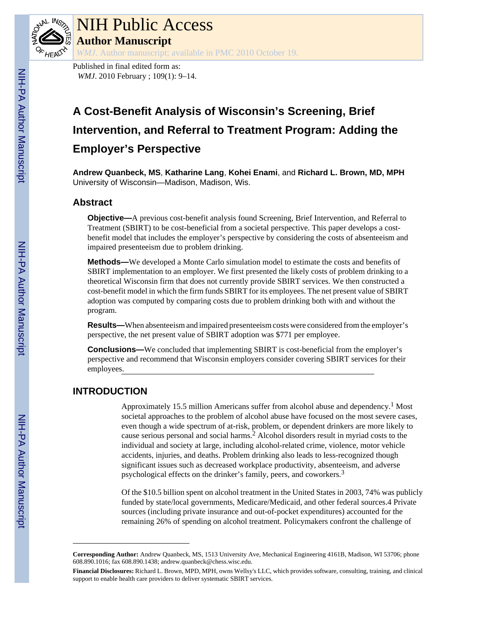

## NIH Public Access **Author Manuscript**

*WMJ*. Author manuscript; available in PMC 2010 October 19.

Published in final edited form as: *WMJ*. 2010 February ; 109(1): 9-14.

## **A Cost-Benefit Analysis of Wisconsin's Screening, Brief Intervention, and Referral to Treatment Program: Adding the Employer's Perspective**

**Andrew Quanbeck, MS**, **Katharine Lang**, **Kohei Enami**, and **Richard L. Brown, MD, MPH** University of Wisconsin—Madison, Madison, Wis.

#### **Abstract**

**Objective—**A previous cost-benefit analysis found Screening, Brief Intervention, and Referral to Treatment (SBIRT) to be cost-beneficial from a societal perspective. This paper develops a costbenefit model that includes the employer's perspective by considering the costs of absenteeism and impaired presenteeism due to problem drinking.

**Methods—**We developed a Monte Carlo simulation model to estimate the costs and benefits of SBIRT implementation to an employer. We first presented the likely costs of problem drinking to a theoretical Wisconsin firm that does not currently provide SBIRT services. We then constructed a cost-benefit model in which the firm funds SBIRT for its employees. The net present value of SBIRT adoption was computed by comparing costs due to problem drinking both with and without the program.

**Results—**When absenteeism and impaired presenteeism costs were considered from the employer's perspective, the net present value of SBIRT adoption was \$771 per employee.

**Conclusions—**We concluded that implementing SBIRT is cost-beneficial from the employer's perspective and recommend that Wisconsin employers consider covering SBIRT services for their employees.

### **INTRODUCTION**

Approximately 15.5 million Americans suffer from alcohol abuse and dependency.<sup>1</sup> Most societal approaches to the problem of alcohol abuse have focused on the most severe cases, even though a wide spectrum of at-risk, problem, or dependent drinkers are more likely to cause serious personal and social harms.<sup>2</sup> Alcohol disorders result in myriad costs to the individual and society at large, including alcohol-related crime, violence, motor vehicle accidents, injuries, and deaths. Problem drinking also leads to less-recognized though significant issues such as decreased workplace productivity, absenteeism, and adverse psychological effects on the drinker's family, peers, and coworkers.<sup>3</sup>

Of the \$10.5 billion spent on alcohol treatment in the United States in 2003, 74% was publicly funded by state/local governments, Medicare/Medicaid, and other federal sources.4 Private sources (including private insurance and out-of-pocket expenditures) accounted for the remaining 26% of spending on alcohol treatment. Policymakers confront the challenge of

**Corresponding Author:** Andrew Quanbeck, MS, 1513 University Ave, Mechanical Engineering 4161B, Madison, WI 53706; phone 608.890.1016; fax 608.890.1438; andrew.quanbeck@chess.wisc.edu.

**Financial Disclosures:** Richard L. Brown, MPD, MPH, owns Wellsy's LLC, which provides software, consulting, training, and clinical support to enable health care providers to deliver systematic SBIRT services.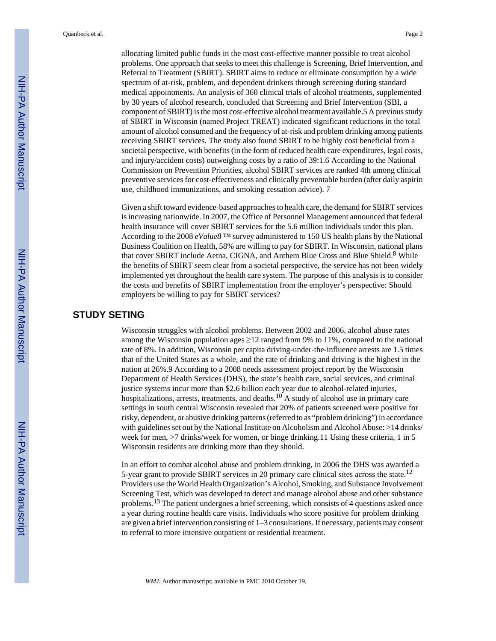allocating limited public funds in the most cost-effective manner possible to treat alcohol problems. One approach that seeks to meet this challenge is Screening, Brief Intervention, and Referral to Treatment (SBIRT). SBIRT aims to reduce or eliminate consumption by a wide spectrum of at-risk, problem, and dependent drinkers through screening during standard medical appointments. An analysis of 360 clinical trials of alcohol treatments, supplemented by 30 years of alcohol research, concluded that Screening and Brief Intervention (SBI, a component of SBIRT) is the most cost-effective alcohol treatment available.5 A previous study of SBIRT in Wisconsin (named Project TREAT) indicated significant reductions in the total amount of alcohol consumed and the frequency of at-risk and problem drinking among patients receiving SBIRT services. The study also found SBIRT to be highly cost beneficial from a societal perspective, with benefits (in the form of reduced health care expenditures, legal costs, and injury/accident costs) outweighing costs by a ratio of 39:1.6 According to the National Commission on Prevention Priorities, alcohol SBIRT services are ranked 4th among clinical preventive services for cost-effectiveness and clinically preventable burden (after daily aspirin use, childhood immunizations, and smoking cessation advice). 7

Given a shift toward evidence-based approaches to health care, the demand for SBIRT services is increasing nationwide. In 2007, the Office of Personnel Management announced that federal health insurance will cover SBIRT services for the 5.6 million individuals under this plan. According to the 2008 *eValue8* ™ survey administered to 150 US health plans by the National Business Coalition on Health, 58% are willing to pay for SBIRT. In Wisconsin, national plans that cover SBIRT include Aetna, CIGNA, and Anthem Blue Cross and Blue Shield.<sup>8</sup> While the benefits of SBIRT seem clear from a societal perspective, the service has not been widely implemented yet throughout the health care system. The purpose of this analysis is to consider the costs and benefits of SBIRT implementation from the employer's perspective: Should employers be willing to pay for SBIRT services?

#### **STUDY SETING**

Wisconsin struggles with alcohol problems. Between 2002 and 2006, alcohol abuse rates among the Wisconsin population ages  $\geq 12$  ranged from 9% to 11%, compared to the national rate of 8%. In addition, Wisconsin per capita driving-under-the-influence arrests are 1.5 times that of the United States as a whole, and the rate of drinking and driving is the highest in the nation at 26%.9 According to a 2008 needs assessment project report by the Wisconsin Department of Health Services (DHS), the state's health care, social services, and criminal justice systems incur more than \$2.6 billion each year due to alcohol-related injuries, hospitalizations, arrests, treatments, and deaths.10 A study of alcohol use in primary care settings in south central Wisconsin revealed that 20% of patients screened were positive for risky, dependent, or abusive drinking patterns (referred to as "problem drinking") in accordance with guidelines set out by the National Institute on Alcoholism and Alcohol Abuse: >14 drinks/ week for men, >7 drinks/week for women, or binge drinking.11 Using these criteria, 1 in 5 Wisconsin residents are drinking more than they should.

In an effort to combat alcohol abuse and problem drinking, in 2006 the DHS was awarded a 5-year grant to provide SBIRT services in 20 primary care clinical sites across the state.<sup>12</sup> Providers use the World Health Organization's Alcohol, Smoking, and Substance Involvement Screening Test, which was developed to detect and manage alcohol abuse and other substance problems.13 The patient undergoes a brief screening, which consists of 4 questions asked once a year during routine health care visits. Individuals who score positive for problem drinking are given a brief intervention consisting of 1–3 consultations. If necessary, patients may consent to referral to more intensive outpatient or residential treatment.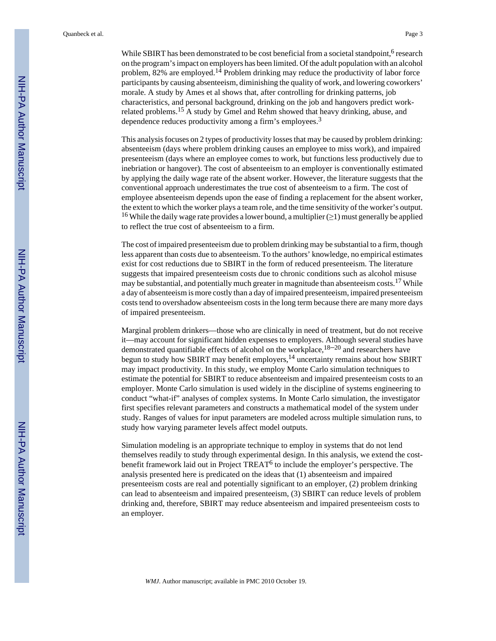While SBIRT has been demonstrated to be cost beneficial from a societal standpoint,  $6$  research on the program's impact on employers has been limited. Of the adult population with an alcohol problem,  $82\%$  are employed.<sup>14</sup> Problem drinking may reduce the productivity of labor force participants by causing absenteeism, diminishing the quality of work, and lowering coworkers' morale. A study by Ames et al shows that, after controlling for drinking patterns, job characteristics, and personal background, drinking on the job and hangovers predict workrelated problems.15 A study by Gmel and Rehm showed that heavy drinking, abuse, and dependence reduces productivity among a firm's employees.<sup>3</sup>

This analysis focuses on 2 types of productivity losses that may be caused by problem drinking: absenteeism (days where problem drinking causes an employee to miss work), and impaired presenteeism (days where an employee comes to work, but functions less productively due to inebriation or hangover). The cost of absenteeism to an employer is conventionally estimated by applying the daily wage rate of the absent worker. However, the literature suggests that the conventional approach underestimates the true cost of absenteeism to a firm. The cost of employee absenteeism depends upon the ease of finding a replacement for the absent worker, the extent to which the worker plays a team role, and the time sensitivity of the worker's output. <sup>16</sup> While the daily wage rate provides a lower bound, a multiplier ( $\geq$ 1) must generally be applied to reflect the true cost of absenteeism to a firm.

The cost of impaired presenteeism due to problem drinking may be substantial to a firm, though less apparent than costs due to absenteeism. To the authors' knowledge, no empirical estimates exist for cost reductions due to SBIRT in the form of reduced presenteeism. The literature suggests that impaired presenteeism costs due to chronic conditions such as alcohol misuse may be substantial, and potentially much greater in magnitude than absenteeism costs.<sup>17</sup> While a day of absenteeism is more costly than a day of impaired presenteeism, impaired presenteeism costs tend to overshadow absenteeism costs in the long term because there are many more days of impaired presenteeism.

Marginal problem drinkers—those who are clinically in need of treatment, but do not receive it—may account for significant hidden expenses to employers. Although several studies have demonstrated quantifiable effects of alcohol on the workplace,  $18-20$  and researchers have begun to study how SBIRT may benefit employers,<sup>14</sup> uncertainty remains about how SBIRT may impact productivity. In this study, we employ Monte Carlo simulation techniques to estimate the potential for SBIRT to reduce absenteeism and impaired presenteeism costs to an employer. Monte Carlo simulation is used widely in the discipline of systems engineering to conduct "what-if" analyses of complex systems. In Monte Carlo simulation, the investigator first specifies relevant parameters and constructs a mathematical model of the system under study. Ranges of values for input parameters are modeled across multiple simulation runs, to study how varying parameter levels affect model outputs.

Simulation modeling is an appropriate technique to employ in systems that do not lend themselves readily to study through experimental design. In this analysis, we extend the costbenefit framework laid out in Project TREAT<sup>6</sup> to include the employer's perspective. The analysis presented here is predicated on the ideas that (1) absenteeism and impaired presenteeism costs are real and potentially significant to an employer, (2) problem drinking can lead to absenteeism and impaired presenteeism, (3) SBIRT can reduce levels of problem drinking and, therefore, SBIRT may reduce absenteeism and impaired presenteeism costs to an employer.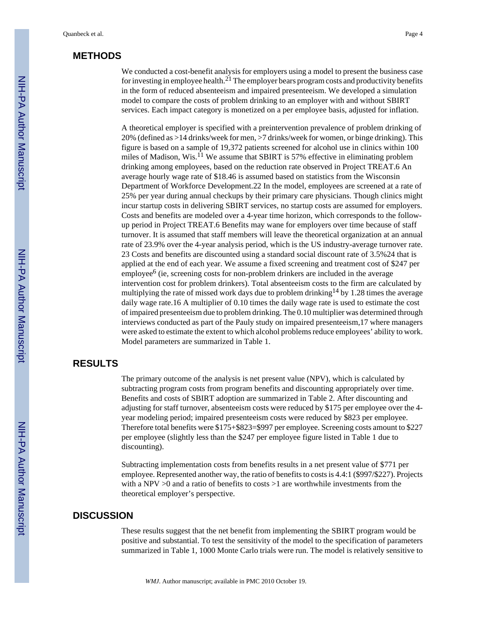#### **METHODS**

We conducted a cost-benefit analysis for employers using a model to present the business case for investing in employee health.<sup>21</sup> The employer bears program costs and productivity benefits in the form of reduced absenteeism and impaired presenteeism. We developed a simulation model to compare the costs of problem drinking to an employer with and without SBIRT services. Each impact category is monetized on a per employee basis, adjusted for inflation.

A theoretical employer is specified with a preintervention prevalence of problem drinking of 20% (defined as >14 drinks/week for men, >7 drinks/week for women, or binge drinking). This figure is based on a sample of 19,372 patients screened for alcohol use in clinics within 100 miles of Madison, Wis.<sup>11</sup> We assume that SBIRT is 57% effective in eliminating problem drinking among employees, based on the reduction rate observed in Project TREAT.6 An average hourly wage rate of \$18.46 is assumed based on statistics from the Wisconsin Department of Workforce Development.22 In the model, employees are screened at a rate of 25% per year during annual checkups by their primary care physicians. Though clinics might incur startup costs in delivering SBIRT services, no startup costs are assumed for employers. Costs and benefits are modeled over a 4-year time horizon, which corresponds to the followup period in Project TREAT.6 Benefits may wane for employers over time because of staff turnover. It is assumed that staff members will leave the theoretical organization at an annual rate of 23.9% over the 4-year analysis period, which is the US industry-average turnover rate. 23 Costs and benefits are discounted using a standard social discount rate of 3.5%24 that is applied at the end of each year. We assume a fixed screening and treatment cost of \$247 per employee<sup>6</sup> (ie, screening costs for non-problem drinkers are included in the average intervention cost for problem drinkers). Total absenteeism costs to the firm are calculated by multiplying the rate of missed work days due to problem drinking<sup>14</sup> by 1.28 times the average daily wage rate.16 A multiplier of 0.10 times the daily wage rate is used to estimate the cost of impaired presenteeism due to problem drinking. The 0.10 multiplier was determined through interviews conducted as part of the Pauly study on impaired presenteeism,17 where managers were asked to estimate the extent to which alcohol problems reduce employees' ability to work. Model parameters are summarized in Table 1.

#### **RESULTS**

The primary outcome of the analysis is net present value (NPV), which is calculated by subtracting program costs from program benefits and discounting appropriately over time. Benefits and costs of SBIRT adoption are summarized in Table 2. After discounting and adjusting for staff turnover, absenteeism costs were reduced by \$175 per employee over the 4 year modeling period; impaired presenteeism costs were reduced by \$823 per employee. Therefore total benefits were \$175+\$823=\$997 per employee. Screening costs amount to \$227 per employee (slightly less than the \$247 per employee figure listed in Table 1 due to discounting).

Subtracting implementation costs from benefits results in a net present value of \$771 per employee. Represented another way, the ratio of benefits to costs is 4.4:1 (\$997/\$227). Projects with a NPV >0 and a ratio of benefits to costs >1 are worthwhile investments from the theoretical employer's perspective.

#### **DISCUSSION**

These results suggest that the net benefit from implementing the SBIRT program would be positive and substantial. To test the sensitivity of the model to the specification of parameters summarized in Table 1, 1000 Monte Carlo trials were run. The model is relatively sensitive to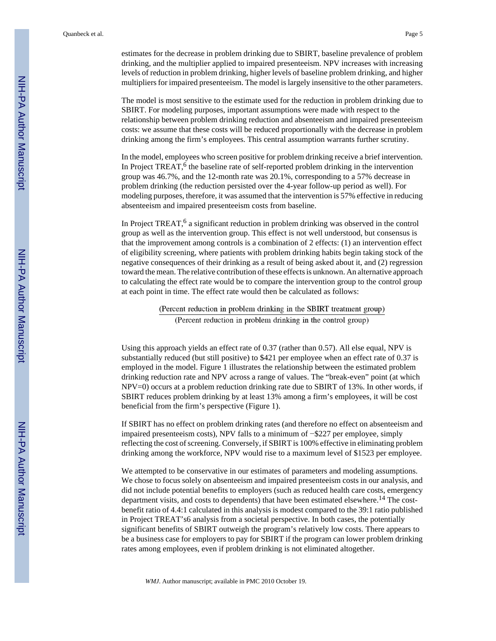estimates for the decrease in problem drinking due to SBIRT, baseline prevalence of problem drinking, and the multiplier applied to impaired presenteeism. NPV increases with increasing levels of reduction in problem drinking, higher levels of baseline problem drinking, and higher multipliers for impaired presenteeism. The model is largely insensitive to the other parameters.

The model is most sensitive to the estimate used for the reduction in problem drinking due to SBIRT. For modeling purposes, important assumptions were made with respect to the relationship between problem drinking reduction and absenteeism and impaired presenteeism costs: we assume that these costs will be reduced proportionally with the decrease in problem drinking among the firm's employees. This central assumption warrants further scrutiny.

In the model, employees who screen positive for problem drinking receive a brief intervention. In Project TREAT, $6$  the baseline rate of self-reported problem drinking in the intervention group was 46.7%, and the 12-month rate was 20.1%, corresponding to a 57% decrease in problem drinking (the reduction persisted over the 4-year follow-up period as well). For modeling purposes, therefore, it was assumed that the intervention is 57% effective in reducing absenteeism and impaired presenteeism costs from baseline.

In Project TREAT,<sup>6</sup> a significant reduction in problem drinking was observed in the control group as well as the intervention group. This effect is not well understood, but consensus is that the improvement among controls is a combination of 2 effects: (1) an intervention effect of eligibility screening, where patients with problem drinking habits begin taking stock of the negative consequences of their drinking as a result of being asked about it, and (2) regression toward the mean. The relative contribution of these effects is unknown. An alternative approach to calculating the effect rate would be to compare the intervention group to the control group at each point in time. The effect rate would then be calculated as follows:

> (Percent reduction in problem drinking in the SBIRT treatment group) (Percent reduction in problem drinking in the control group)

Using this approach yields an effect rate of 0.37 (rather than 0.57). All else equal, NPV is substantially reduced (but still positive) to \$421 per employee when an effect rate of 0.37 is employed in the model. Figure 1 illustrates the relationship between the estimated problem drinking reduction rate and NPV across a range of values. The "break-even" point (at which NPV=0) occurs at a problem reduction drinking rate due to SBIRT of 13%. In other words, if SBIRT reduces problem drinking by at least 13% among a firm's employees, it will be cost beneficial from the firm's perspective (Figure 1).

If SBIRT has no effect on problem drinking rates (and therefore no effect on absenteeism and impaired presenteeism costs), NPV falls to a minimum of −\$227 per employee, simply reflecting the cost of screening. Conversely, if SBIRT is 100% effective in eliminating problem drinking among the workforce, NPV would rise to a maximum level of \$1523 per employee.

We attempted to be conservative in our estimates of parameters and modeling assumptions. We chose to focus solely on absenteeism and impaired presenteeism costs in our analysis, and did not include potential benefits to employers (such as reduced health care costs, emergency department visits, and costs to dependents) that have been estimated elsewhere.<sup>14</sup> The costbenefit ratio of 4.4:1 calculated in this analysis is modest compared to the 39:1 ratio published in Project TREAT's6 analysis from a societal perspective. In both cases, the potentially significant benefits of SBIRT outweigh the program's relatively low costs. There appears to be a business case for employers to pay for SBIRT if the program can lower problem drinking rates among employees, even if problem drinking is not eliminated altogether.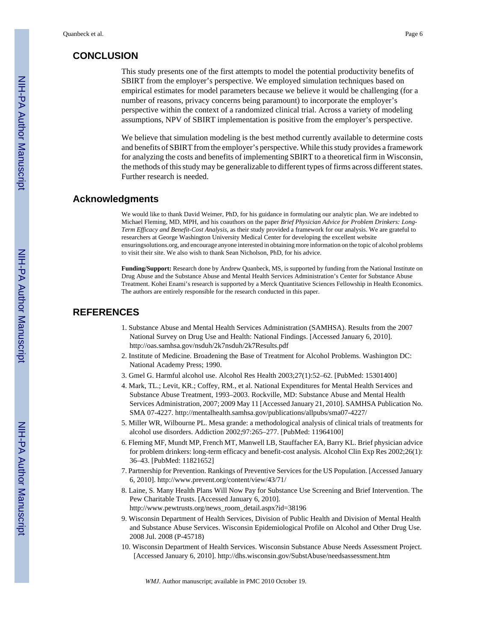#### **CONCLUSION**

This study presents one of the first attempts to model the potential productivity benefits of SBIRT from the employer's perspective. We employed simulation techniques based on empirical estimates for model parameters because we believe it would be challenging (for a number of reasons, privacy concerns being paramount) to incorporate the employer's perspective within the context of a randomized clinical trial. Across a variety of modeling assumptions, NPV of SBIRT implementation is positive from the employer's perspective.

We believe that simulation modeling is the best method currently available to determine costs and benefits of SBIRT from the employer's perspective. While this study provides a framework for analyzing the costs and benefits of implementing SBIRT to a theoretical firm in Wisconsin, the methods of this study may be generalizable to different types of firms across different states. Further research is needed.

#### **Acknowledgments**

We would like to thank David Weimer, PhD, for his guidance in formulating our analytic plan. We are indebted to Michael Fleming, MD, MPH, and his coauthors on the paper *Brief Physician Advice for Problem Drinkers: Long-Term Efficacy and Benefit-Cost Analysis*, as their study provided a framework for our analysis. We are grateful to researchers at George Washington University Medical Center for developing the excellent website ensuringsolutions.org, and encourage anyone interested in obtaining more information on the topic of alcohol problems to visit their site. We also wish to thank Sean Nicholson, PhD, for his advice.

**Funding/Support:** Research done by Andrew Quanbeck, MS, is supported by funding from the National Institute on Drug Abuse and the Substance Abuse and Mental Health Services Administration's Center for Substance Abuse Treatment. Kohei Enami's research is supported by a Merck Quantitative Sciences Fellowship in Health Economics. The authors are entirely responsible for the research conducted in this paper.

#### **REFERENCES**

- 1. Substance Abuse and Mental Health Services Administration (SAMHSA). Results from the 2007 National Survey on Drug Use and Health: National Findings. [Accessed January 6, 2010]. <http://oas.samhsa.gov/nsduh/2k7nsduh/2k7Results.pdf>
- 2. Institute of Medicine. Broadening the Base of Treatment for Alcohol Problems. Washington DC: National Academy Press; 1990.
- 3. Gmel G. Harmful alcohol use. Alcohol Res Health 2003;27(1):52–62. [PubMed: 15301400]
- 4. Mark, TL.; Levit, KR.; Coffey, RM., et al. National Expenditures for Mental Health Services and Substance Abuse Treatment, 1993–2003. Rockville, MD: Substance Abuse and Mental Health Services Administration, 2007; 2009 May 11 [Accessed January 21, 2010]. SAMHSA Publication No. SMA 07-4227.<http://mentalhealth.samhsa.gov/publications/allpubs/sma07-4227/>
- 5. Miller WR, Wilbourne PL. Mesa grande: a methodological analysis of clinical trials of treatments for alcohol use disorders. Addiction 2002;97:265–277. [PubMed: 11964100]
- 6. Fleming MF, Mundt MP, French MT, Manwell LB, Stauffacher EA, Barry KL. Brief physician advice for problem drinkers: long-term efficacy and benefit-cost analysis. Alcohol Clin Exp Res 2002;26(1): 36–43. [PubMed: 11821652]
- 7. Partnership for Prevention. Rankings of Preventive Services for the US Population. [Accessed January 6, 2010].<http://www.prevent.org/content/view/43/71/>
- 8. Laine, S. Many Health Plans Will Now Pay for Substance Use Screening and Brief Intervention. The Pew Charitable Trusts. [Accessed January 6, 2010]. [http://www.pewtrusts.org/news\\_room\\_detail.aspx?id=38196](http://www.pewtrusts.org/news_room_detail.aspx?id=38196)
- 9. Wisconsin Department of Health Services, Division of Public Health and Division of Mental Health and Substance Abuse Services. Wisconsin Epidemiological Profile on Alcohol and Other Drug Use. 2008 Jul. 2008 (P-45718)
- 10. Wisconsin Department of Health Services. Wisconsin Substance Abuse Needs Assessment Project. [Accessed January 6, 2010]. <http://dhs.wisconsin.gov/SubstAbuse/needsassessment.htm>

*WMJ*. Author manuscript; available in PMC 2010 October 19.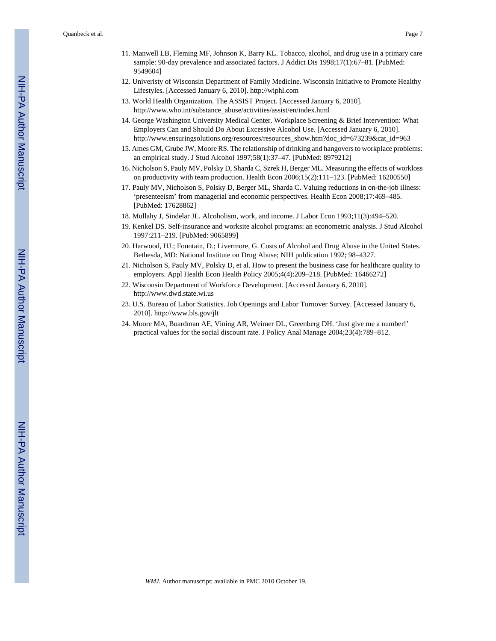- 12. Univeristy of Wisconsin Department of Family Medicine. Wisconsin Initiative to Promote Healthy Lifestyles. [Accessed January 6, 2010]. <http://wiphl.com>
- 13. World Health Organization. The ASSIST Project. [Accessed January 6, 2010]. [http://www.who.int/substance\\_abuse/activities/assist/en/index.html](http://www.who.int/substance_abuse/activities/assist/en/index.html)
- 14. George Washington University Medical Center. Workplace Screening & Brief Intervention: What Employers Can and Should Do About Excessive Alcohol Use. [Accessed January 6, 2010]. [http://www.ensuringsolutions.org/resources/resources\\_show.htm?doc\\_id=673239&cat\\_id=963](http://www.ensuringsolutions.org/resources/resources_show.htm?doc_id=673239&cat_id=963)
- 15. Ames GM, Grube JW, Moore RS. The relationship of drinking and hangovers to workplace problems: an empirical study. J Stud Alcohol 1997;58(1):37–47. [PubMed: 8979212]
- 16. Nicholson S, Pauly MV, Polsky D, Sharda C, Szrek H, Berger ML. Measuring the effects of workloss on productivity with team production. Health Econ 2006;15(2):111–123. [PubMed: 16200550]
- 17. Pauly MV, Nicholson S, Polsky D, Berger ML, Sharda C. Valuing reductions in on-the-job illness: 'presenteeism' from managerial and economic perspectives. Health Econ 2008;17:469–485. [PubMed: 17628862]
- 18. Mullahy J, Sindelar JL. Alcoholism, work, and income. J Labor Econ 1993;11(3):494–520.
- 19. Kenkel DS. Self-insurance and worksite alcohol programs: an econometric analysis. J Stud Alcohol 1997:211–219. [PubMed: 9065899]
- 20. Harwood, HJ.; Fountain, D.; Livermore, G. Costs of Alcohol and Drug Abuse in the United States. Bethesda, MD: National Institute on Drug Abuse; NIH publication 1992; 98–4327.
- 21. Nicholson S, Pauly MV, Polsky D, et al. How to present the business case for healthcare quality to employers. Appl Health Econ Health Policy 2005;4(4):209–218. [PubMed: 16466272]
- 22. Wisconsin Department of Workforce Development. [Accessed January 6, 2010]. <http://www.dwd.state.wi.us>
- 23. U.S. Bureau of Labor Statistics. Job Openings and Labor Turnover Survey. [Accessed January 6, 2010].<http://www.bls.gov/jlt>
- 24. Moore MA, Boardman AE, Vining AR, Weimer DL, Greenberg DH. 'Just give me a number!' practical values for the social discount rate. J Policy Anal Manage 2004;23(4):789–812.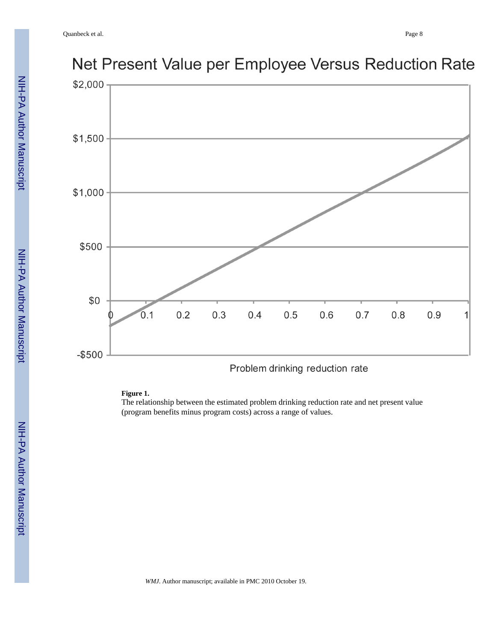

# Net Present Value per Employee Versus Reduction Rate

### **Figure 1.**

The relationship between the estimated problem drinking reduction rate and net present value (program benefits minus program costs) across a range of values.

Problem drinking reduction rate

*WMJ*. Author manuscript; available in PMC 2010 October 19.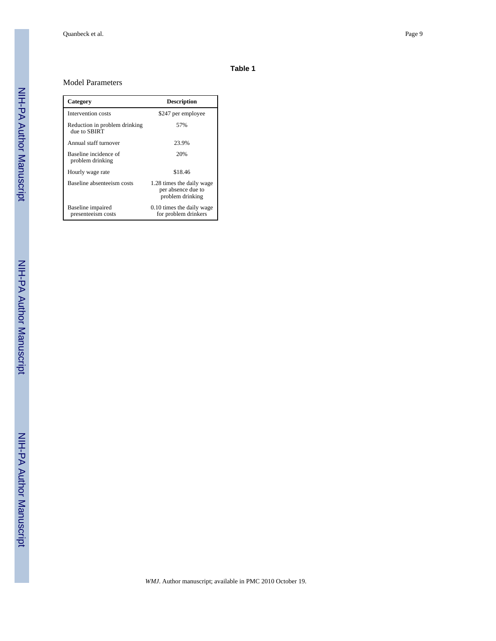#### **Table 1**

#### Model Parameters

| Category                                      | <b>Description</b>                                                  |
|-----------------------------------------------|---------------------------------------------------------------------|
| Intervention costs                            | \$247 per employee                                                  |
| Reduction in problem drinking<br>due to SBIRT | 57%                                                                 |
| Annual staff turnover                         | 23.9%                                                               |
| Baseline incidence of<br>problem drinking     | 20%                                                                 |
| Hourly wage rate                              | \$18.46                                                             |
| Baseline absenteeism costs                    | 1.28 times the daily wage<br>per absence due to<br>problem drinking |
| Baseline impaired<br>presenteeism costs       | 0.10 times the daily wage<br>for problem drinkers                   |